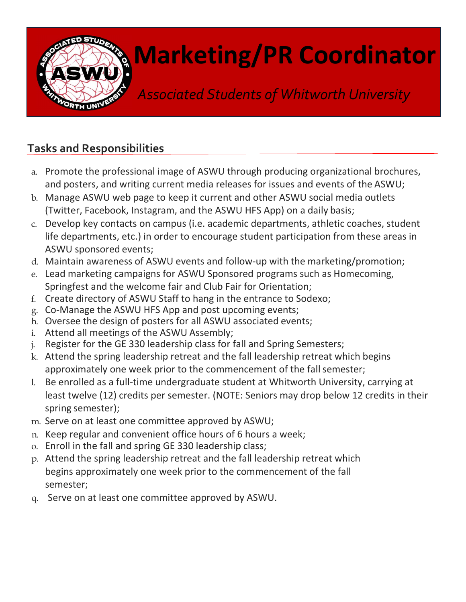

## Marketing/PR Coordinator

Associated Students of Whitworth University

## Tasks and Responsibilities

- a. Promote the professional image of ASWU through producing organizational brochures, and posters, and writing current media releases for issues and events of the ASWU;
- b. Manage ASWU web page to keep it current and other ASWU social media outlets (Twitter, Facebook, Instagram, and the ASWU HFS App) on a daily basis;
- c. Develop key contacts on campus (i.e. academic departments, athletic coaches, student life departments, etc.) in order to encourage student participation from these areas in ASWU sponsored events;
- d. Maintain awareness of ASWU events and follow-up with the marketing/promotion;
- e. Lead marketing campaigns for ASWU Sponsored programs such as Homecoming, Springfest and the welcome fair and Club Fair for Orientation;
- f. Create directory of ASWU Staff to hang in the entrance to Sodexo;
- g. Co-Manage the ASWU HFS App and post upcoming events;
- h. Oversee the design of posters for all ASWU associated events;
- i. Attend all meetings of the ASWU Assembly;
- j. Register for the GE 330 leadership class for fall and Spring Semesters;
- k. Attend the spring leadership retreat and the fall leadership retreat which begins approximately one week prior to the commencement of the fall semester;
- l. Be enrolled as a full-time undergraduate student at Whitworth University, carrying at least twelve (12) credits per semester. (NOTE: Seniors may drop below 12 credits in their spring semester);
- m. Serve on at least one committee approved by ASWU;
- n. Keep regular and convenient office hours of 6 hours a week;
- o. Enroll in the fall and spring GE 330 leadership class;
- p. Attend the spring leadership retreat and the fall leadership retreat which begins approximately one week prior to the commencement of the fall semester;
- q. Serve on at least one committee approved by ASWU.